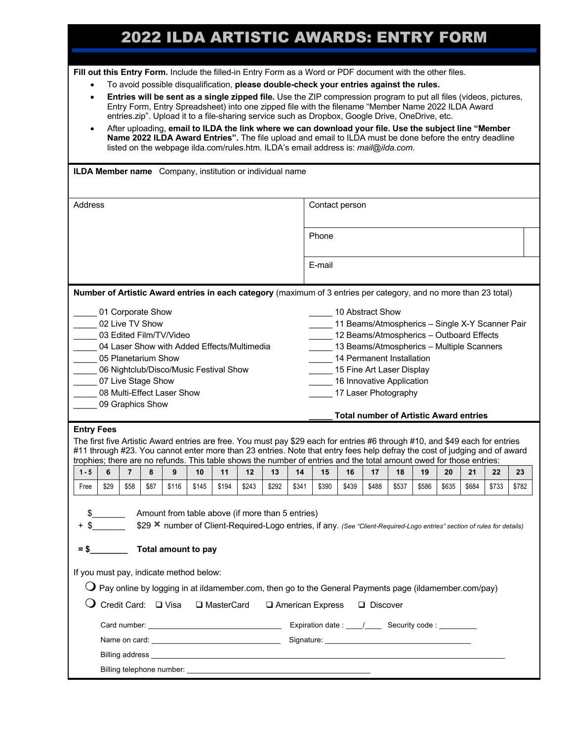# 2022 ILDA ARTISTIC AWARDS: ENTRY FORM **<sup>1</sup>**

**Fill out this Entry Form.** Include the filled-in Entry Form as a Word or PDF document with the other files.

- To avoid possible disqualification, **please double-check your entries against the rules.**
- **Entries will be sent as a single zipped file.** Use the ZIP compression program to put all files (videos, pictures, Entry Form, Entry Spreadsheet) into one zipped file with the filename "Member Name 2022 ILDA Award entries.zip". Upload it to a file-sharing service such as Dropbox, Google Drive, OneDrive, etc.
- After uploading, **email to ILDA the link where we can download your file. Use the subject line "Member Name 2022 ILDA Award Entries".** The file upload and email to ILDA must be done before the entry deadline listed on the webpage ilda.com/rules.htm. ILDA's email address is: *mail@ilda.com*.

| ILDA Member name Company, institution or individual name                                                                                                                                                                                                                                                                                                                                                                                                                                                                                          |      |                |      |       |       |       |       |       |       |                |                                                                                                                                                                                                                                                                                                                              |       |       |       |       |       |       |       |  |  |
|---------------------------------------------------------------------------------------------------------------------------------------------------------------------------------------------------------------------------------------------------------------------------------------------------------------------------------------------------------------------------------------------------------------------------------------------------------------------------------------------------------------------------------------------------|------|----------------|------|-------|-------|-------|-------|-------|-------|----------------|------------------------------------------------------------------------------------------------------------------------------------------------------------------------------------------------------------------------------------------------------------------------------------------------------------------------------|-------|-------|-------|-------|-------|-------|-------|--|--|
| <b>Address</b>                                                                                                                                                                                                                                                                                                                                                                                                                                                                                                                                    |      |                |      |       |       |       |       |       |       | Contact person |                                                                                                                                                                                                                                                                                                                              |       |       |       |       |       |       |       |  |  |
|                                                                                                                                                                                                                                                                                                                                                                                                                                                                                                                                                   |      |                |      |       |       |       |       |       |       | Phone          |                                                                                                                                                                                                                                                                                                                              |       |       |       |       |       |       |       |  |  |
|                                                                                                                                                                                                                                                                                                                                                                                                                                                                                                                                                   |      |                |      |       |       |       |       |       |       | E-mail         |                                                                                                                                                                                                                                                                                                                              |       |       |       |       |       |       |       |  |  |
| Number of Artistic Award entries in each category (maximum of 3 entries per category, and no more than 23 total)                                                                                                                                                                                                                                                                                                                                                                                                                                  |      |                |      |       |       |       |       |       |       |                |                                                                                                                                                                                                                                                                                                                              |       |       |       |       |       |       |       |  |  |
| 01 Corporate Show<br>02 Live TV Show<br>03 Edited Film/TV/Video<br>04 Laser Show with Added Effects/Multimedia<br>05 Planetarium Show<br>$\overline{\phantom{a}}$<br>06 Nightclub/Disco/Music Festival Show<br>07 Live Stage Show<br>08 Multi-Effect Laser Show<br>09 Graphics Show<br><b>Entry Fees</b><br>The first five Artistic Award entries are free. You must pay \$29 each for entries #6 through #10, and \$49 each for entries                                                                                                          |      |                |      |       |       |       |       |       |       |                | 10 Abstract Show<br>11 Beams/Atmospherics - Single X-Y Scanner Pair<br>12 Beams/Atmospherics - Outboard Effects<br>13 Beams/Atmospherics - Multiple Scanners<br>14 Permanent Installation<br>15 Fine Art Laser Display<br>16 Innovative Application<br>17 Laser Photography<br><b>Total number of Artistic Award entries</b> |       |       |       |       |       |       |       |  |  |
| #11 through #23. You cannot enter more than 23 entries. Note that entry fees help defray the cost of judging and of award<br>trophies; there are no refunds. This table shows the number of entries and the total amount owed for those entries:                                                                                                                                                                                                                                                                                                  |      |                |      |       |       |       |       |       |       |                |                                                                                                                                                                                                                                                                                                                              |       |       |       |       |       |       |       |  |  |
| $1 - 5$                                                                                                                                                                                                                                                                                                                                                                                                                                                                                                                                           | 6    | $\overline{7}$ | 8    | 9     | 10    | 11    | 12    | 13    | 14    | 15             | 16                                                                                                                                                                                                                                                                                                                           | 17    | 18    | 19    | 20    | 21    | 22    | 23    |  |  |
| Free                                                                                                                                                                                                                                                                                                                                                                                                                                                                                                                                              | \$29 | \$58           | \$87 | \$116 | \$145 | \$194 | \$243 | \$292 | \$341 | \$390          | \$439                                                                                                                                                                                                                                                                                                                        | \$488 | \$537 | \$586 | \$635 | \$684 | \$733 | \$782 |  |  |
| Amount from table above (if more than 5 entries)<br>$+$ \$<br>\$29 X number of Client-Required-Logo entries, if any. (See "Client-Required-Logo entries" section of rules for details)<br>Total amount to pay<br>$=$ \$<br>If you must pay, indicate method below:<br>$\operatorname{\mathsf{Q}}$ Pay online by logging in at ildamember.com, then go to the General Payments page (ildamember.com/pay)<br>Credit Card: □ Visa □ MasterCard<br>□ American Express<br>$\Box$ Discover<br>Expiration date : ____/_______ Security code : __________ |      |                |      |       |       |       |       |       |       |                |                                                                                                                                                                                                                                                                                                                              |       |       |       |       |       |       |       |  |  |
|                                                                                                                                                                                                                                                                                                                                                                                                                                                                                                                                                   |      |                |      |       |       |       |       |       |       |                |                                                                                                                                                                                                                                                                                                                              |       |       |       |       |       |       |       |  |  |
|                                                                                                                                                                                                                                                                                                                                                                                                                                                                                                                                                   |      |                |      |       |       |       |       |       |       |                |                                                                                                                                                                                                                                                                                                                              |       |       |       |       |       |       |       |  |  |